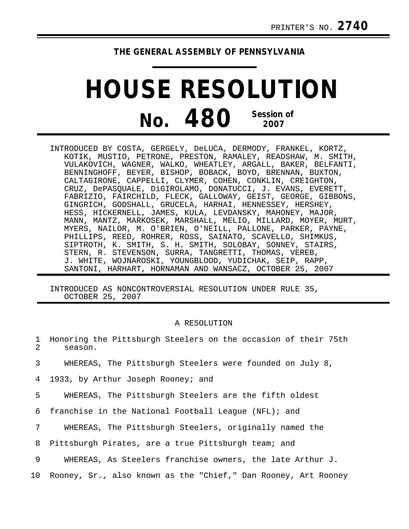## **THE GENERAL ASSEMBLY OF PENNSYLVANIA**

## **HOUSE RESOLUTION No. 480 Session of 2007**

INTRODUCED BY COSTA, GERGELY, DeLUCA, DERMODY, FRANKEL, KORTZ, KOTIK, MUSTIO, PETRONE, PRESTON, RAMALEY, READSHAW, M. SMITH, VULAKOVICH, WAGNER, WALKO, WHEATLEY, ARGALL, BAKER, BELFANTI, BENNINGHOFF, BEYER, BISHOP, BOBACK, BOYD, BRENNAN, BUXTON, CALTAGIRONE, CAPPELLI, CLYMER, COHEN, CONKLIN, CREIGHTON, CRUZ, DePASQUALE, DiGIROLAMO, DONATUCCI, J. EVANS, EVERETT, FABRIZIO, FAIRCHILD, FLECK, GALLOWAY, GEIST, GEORGE, GIBBONS, GINGRICH, GODSHALL, GRUCELA, HARHAI, HENNESSEY, HERSHEY, HESS, HICKERNELL, JAMES, KULA, LEVDANSKY, MAHONEY, MAJOR, MANN, MANTZ, MARKOSEK, MARSHALL, MELIO, MILLARD, MOYER, MURT, MYERS, NAILOR, M. O'BRIEN, O'NEILL, PALLONE, PARKER, PAYNE, PHILLIPS, REED, ROHRER, ROSS, SAINATO, SCAVELLO, SHIMKUS, SIPTROTH, K. SMITH, S. H. SMITH, SOLOBAY, SONNEY, STAIRS, STERN, R. STEVENSON, SURRA, TANGRETTI, THOMAS, VEREB, J. WHITE, WOJNAROSKI, YOUNGBLOOD, YUDICHAK, SEIP, RAPP, SANTONI, HARHART, HORNAMAN AND WANSACZ, OCTOBER 25, 2007

INTRODUCED AS NONCONTROVERSIAL RESOLUTION UNDER RULE 35, OCTOBER 25, 2007

## A RESOLUTION

|              |         |  | 1 Honoring the Pittsburgh Steelers on the occasion of their 75th |  |  |  |  |
|--------------|---------|--|------------------------------------------------------------------|--|--|--|--|
| $\mathbf{z}$ | season. |  |                                                                  |  |  |  |  |

- 3 WHEREAS, The Pittsburgh Steelers were founded on July 8,
- 4 1933, by Arthur Joseph Rooney; and

5 WHEREAS, The Pittsburgh Steelers are the fifth oldest

6 franchise in the National Football League (NFL); and

7 WHEREAS, The Pittsburgh Steelers, originally named the

8 Pittsburgh Pirates, are a true Pittsburgh team; and

9 WHEREAS, As Steelers franchise owners, the late Arthur J.

10 Rooney, Sr., also known as the "Chief," Dan Rooney, Art Rooney